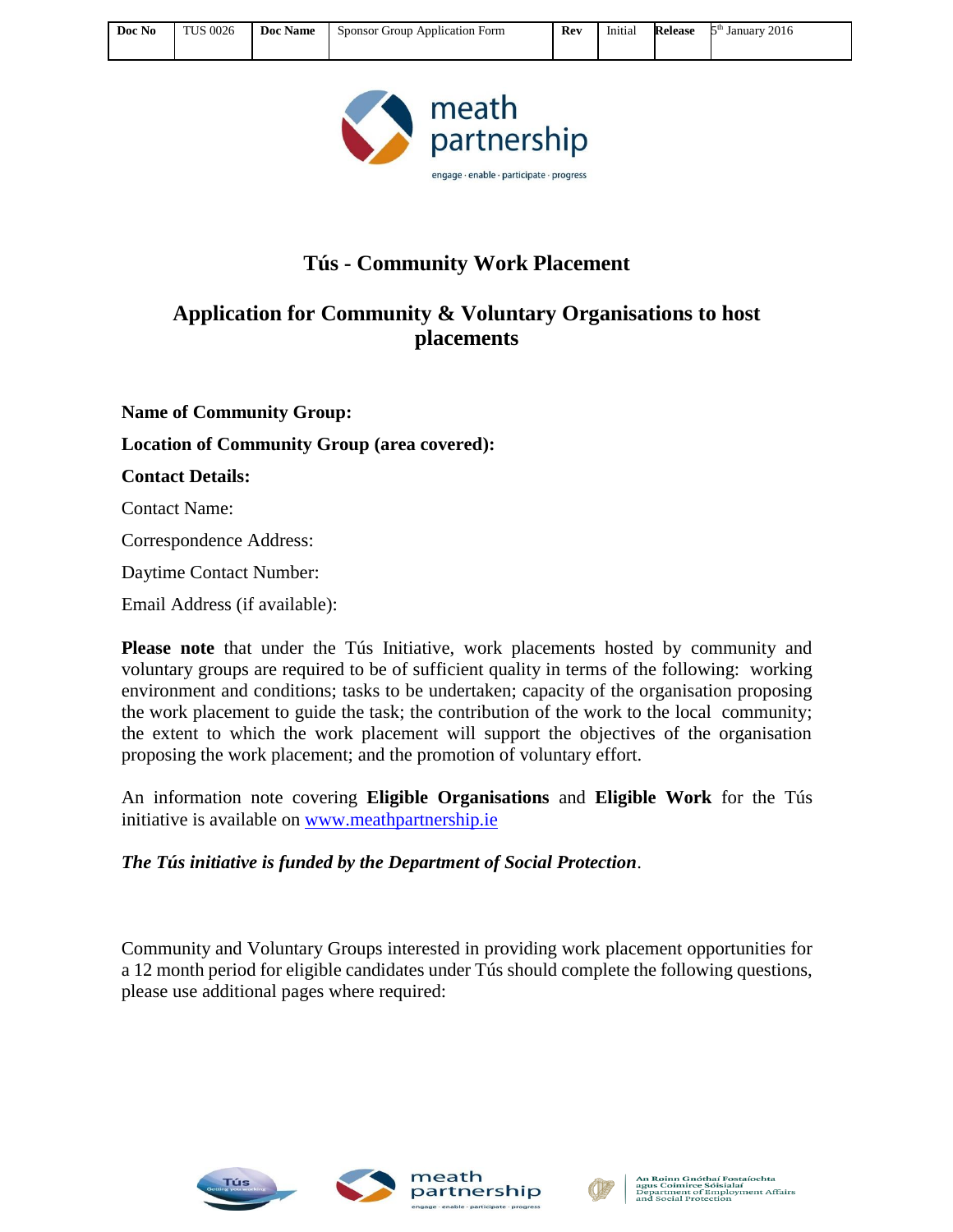

## **Tús - Community Work Placement**

## **Application for Community & Voluntary Organisations to host placements**

**Name of Community Group: Location of Community Group (area covered): Contact Details:** Contact Name: Correspondence Address: Daytime Contact Number:

Email Address (if available):

**Please note** that under the Tús Initiative, work placements hosted by community and voluntary groups are required to be of sufficient quality in terms of the following: working environment and conditions; tasks to be undertaken; capacity of the organisation proposing the work placement to guide the task; the contribution of the work to the local community; the extent to which the work placement will support the objectives of the organisation proposing the work placement; and the promotion of voluntary effort.

An information note covering **Eligible Organisations** and **Eligible Work** for the Tús initiative is available on [www.meathpartnership.ie](http://www.meathpartnership.ie/)

*The Tús initiative is funded by the Department of Social Protection*.

Community and Voluntary Groups interested in providing work placement opportunities for a 12 month period for eligible candidates under Tús should complete the following questions, please use additional pages where required:







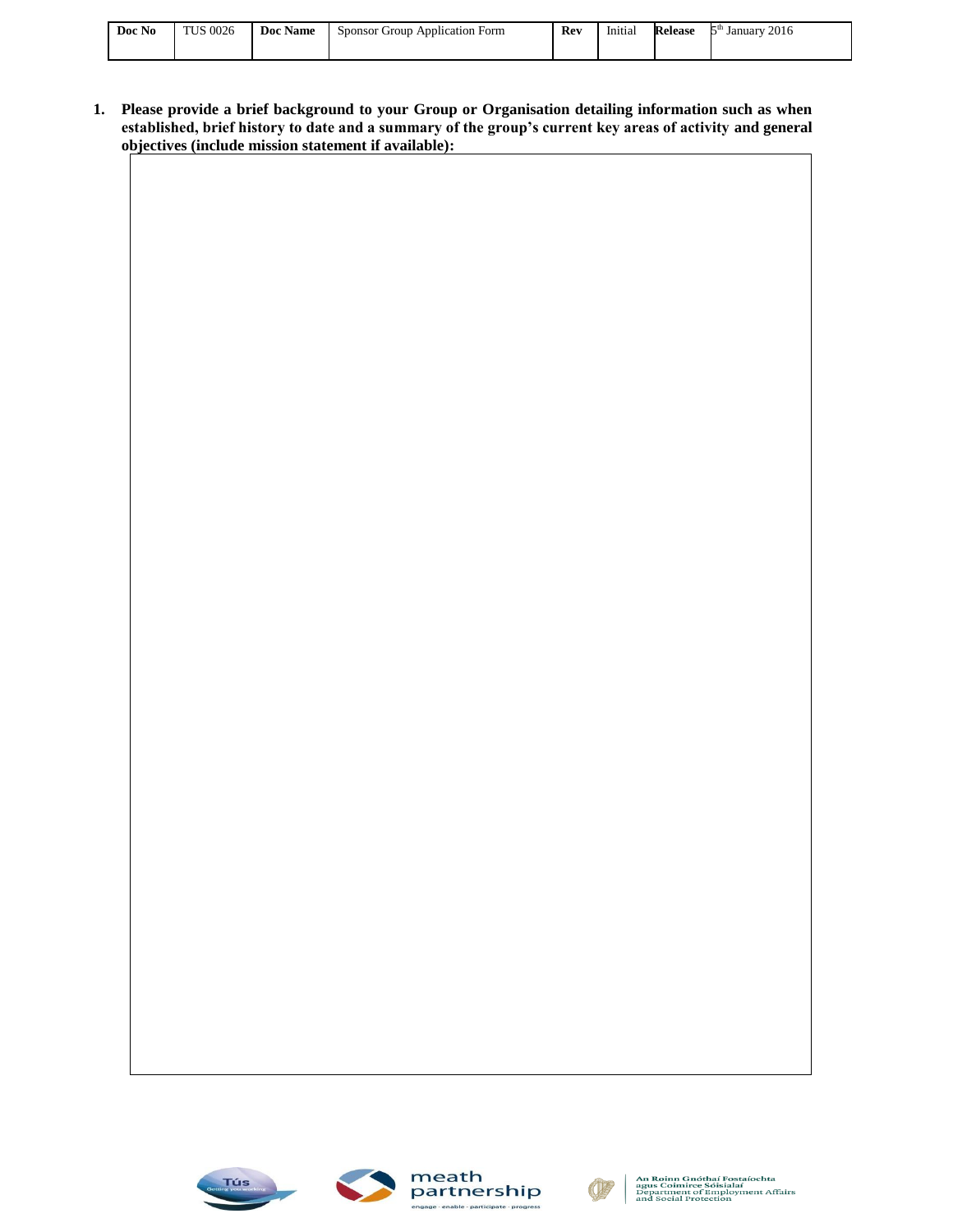| Doc No | <b>TUS 0026</b> | Jос<br>Name | Sponsor<br>Group<br>Application Form | Rev | Initial | <b>Release</b> | 2016<br>kςth<br>January |
|--------|-----------------|-------------|--------------------------------------|-----|---------|----------------|-------------------------|
|        |                 |             |                                      |     |         |                |                         |

**1. Please provide a brief background to your Group or Organisation detailing information such as when established, brief history to date and a summary of the group's current key areas of activity and general objectives (include mission statement if available):**





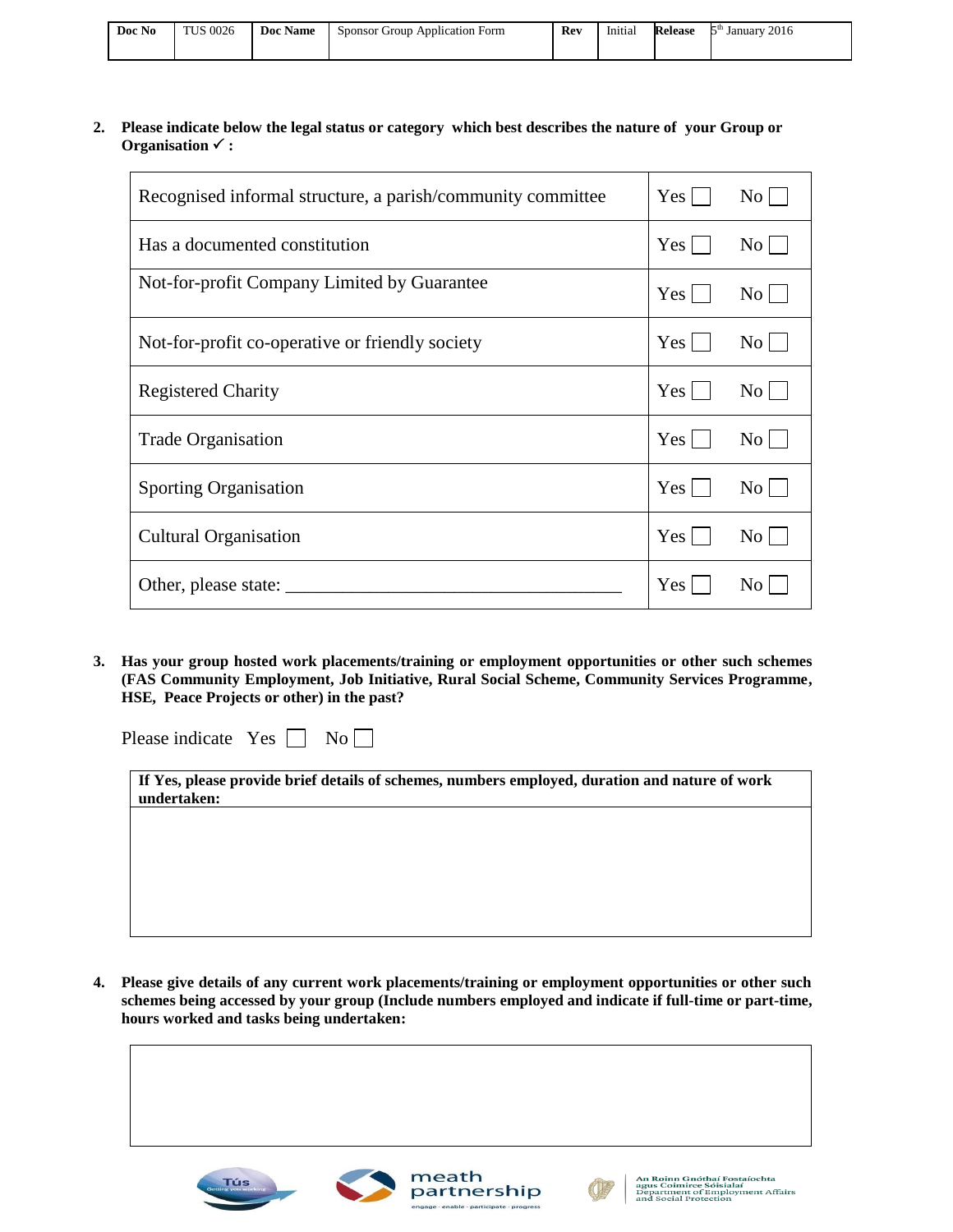| Doc No | <b>TUS 0026</b> | Doc Name | Sponsor Group Application Form | Rev | $- - - - -$<br>Initial | Release | 2016<br>հա<br>January |
|--------|-----------------|----------|--------------------------------|-----|------------------------|---------|-----------------------|
|        |                 |          |                                |     |                        |         |                       |

#### **2. Please indicate below the legal status or category which best describes the nature of your Group or Organisation :**

| Recognised informal structure, a parish/community committee | $Yes \mid$       | $\rm{No}$      |
|-------------------------------------------------------------|------------------|----------------|
| Has a documented constitution                               | Yes <sub>l</sub> | $\rm{No}$      |
| Not-for-profit Company Limited by Guarantee                 | $Yes \mid$       | $\rm{No}$      |
| Not-for-profit co-operative or friendly society             | Yes <sub>1</sub> | $\rm{No}$      |
| <b>Registered Charity</b>                                   | Yes              | $\rm{No}$      |
| <b>Trade Organisation</b>                                   | $Yes \mid$       | $\rm{No}$      |
| <b>Sporting Organisation</b>                                | Yes              | $\rm{No}$      |
| <b>Cultural Organisation</b>                                | Yes              | $\rm No$       |
|                                                             | Yes              | N <sub>0</sub> |

**3. Has your group hosted work placements/training or employment opportunities or other such schemes (FAS Community Employment, Job Initiative, Rural Social Scheme, Community Services Programme, HSE, Peace Projects or other) in the past?**

| Please indicate | <b>Yes</b> |  | $\overline{N_0}$ |  |  |
|-----------------|------------|--|------------------|--|--|
|-----------------|------------|--|------------------|--|--|

| If Yes, please provide brief details of schemes, numbers employed, duration and nature of work |  |
|------------------------------------------------------------------------------------------------|--|
| undertaken:                                                                                    |  |

**4. Please give details of any current work placements/training or employment opportunities or other such schemes being accessed by your group (Include numbers employed and indicate if full-time or part-time, hours worked and tasks being undertaken:**





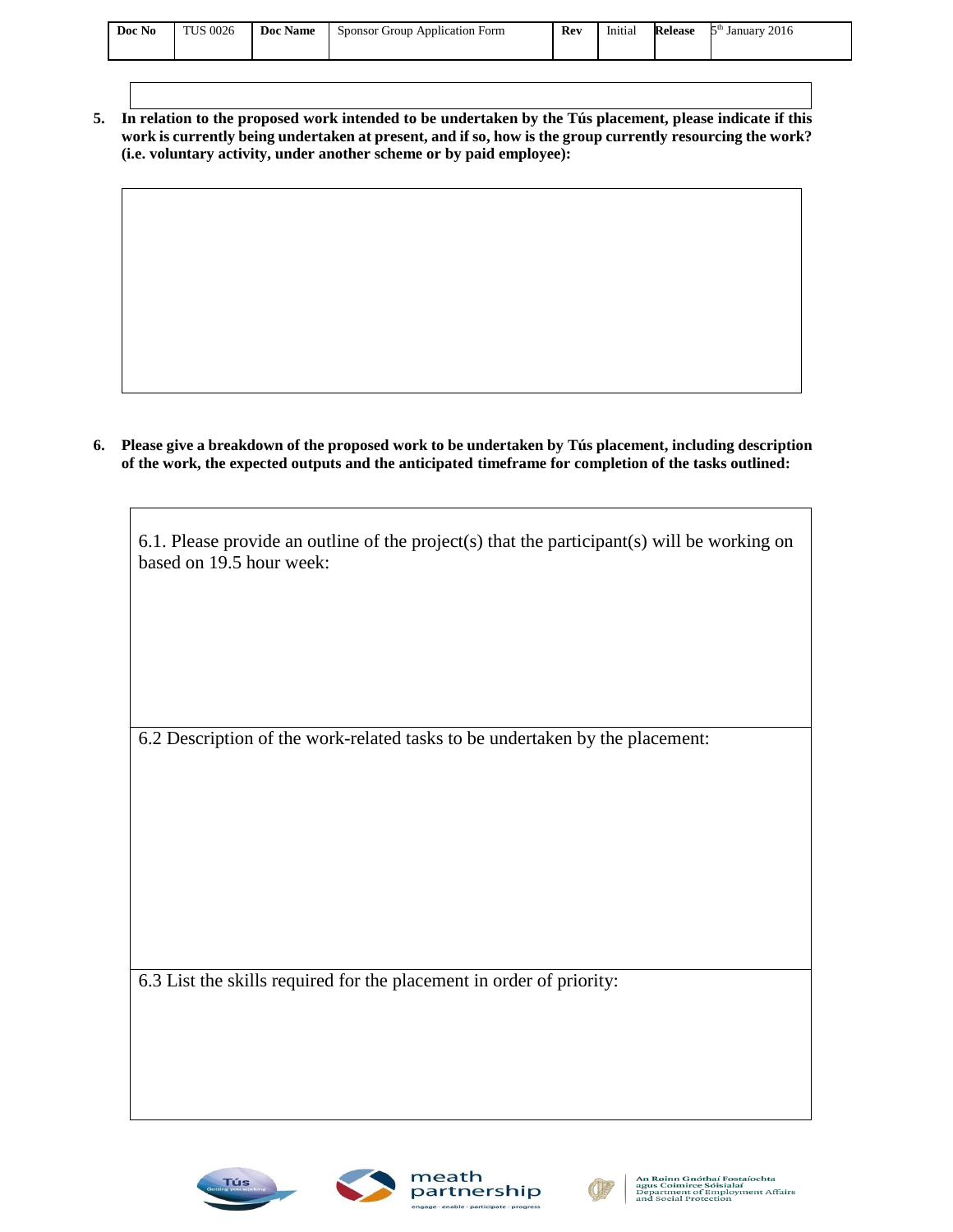| $\mathbf{r}$<br>Doc Name<br>Initial<br>r.<br>Sponsor C<br>Application Form<br>Januarv<br>Group<br>Release | Doc No | <b>TUS 0026</b> |  | Rev | . | 2016 |  |
|-----------------------------------------------------------------------------------------------------------|--------|-----------------|--|-----|---|------|--|
|                                                                                                           |        |                 |  |     |   |      |  |

**5. In relation to the proposed work intended to be undertaken by the Tús placement, please indicate if this work is currently being undertaken at present, and if so, how is the group currently resourcing the work? (i.e. voluntary activity, under another scheme or by paid employee):**

**6. Please give a breakdown of the proposed work to be undertaken by Tús placement, including description of the work, the expected outputs and the anticipated timeframe for completion of the tasks outlined:**

| 6.1. Please provide an outline of the project(s) that the participant(s) will be working on<br>based on 19.5 hour week: |
|-------------------------------------------------------------------------------------------------------------------------|
|                                                                                                                         |
|                                                                                                                         |
|                                                                                                                         |
| 6.2 Description of the work-related tasks to be undertaken by the placement:                                            |
|                                                                                                                         |
|                                                                                                                         |
|                                                                                                                         |
|                                                                                                                         |
|                                                                                                                         |
| 6.3 List the skills required for the placement in order of priority:                                                    |
|                                                                                                                         |
|                                                                                                                         |
|                                                                                                                         |



 $\mathsf{I}$ 



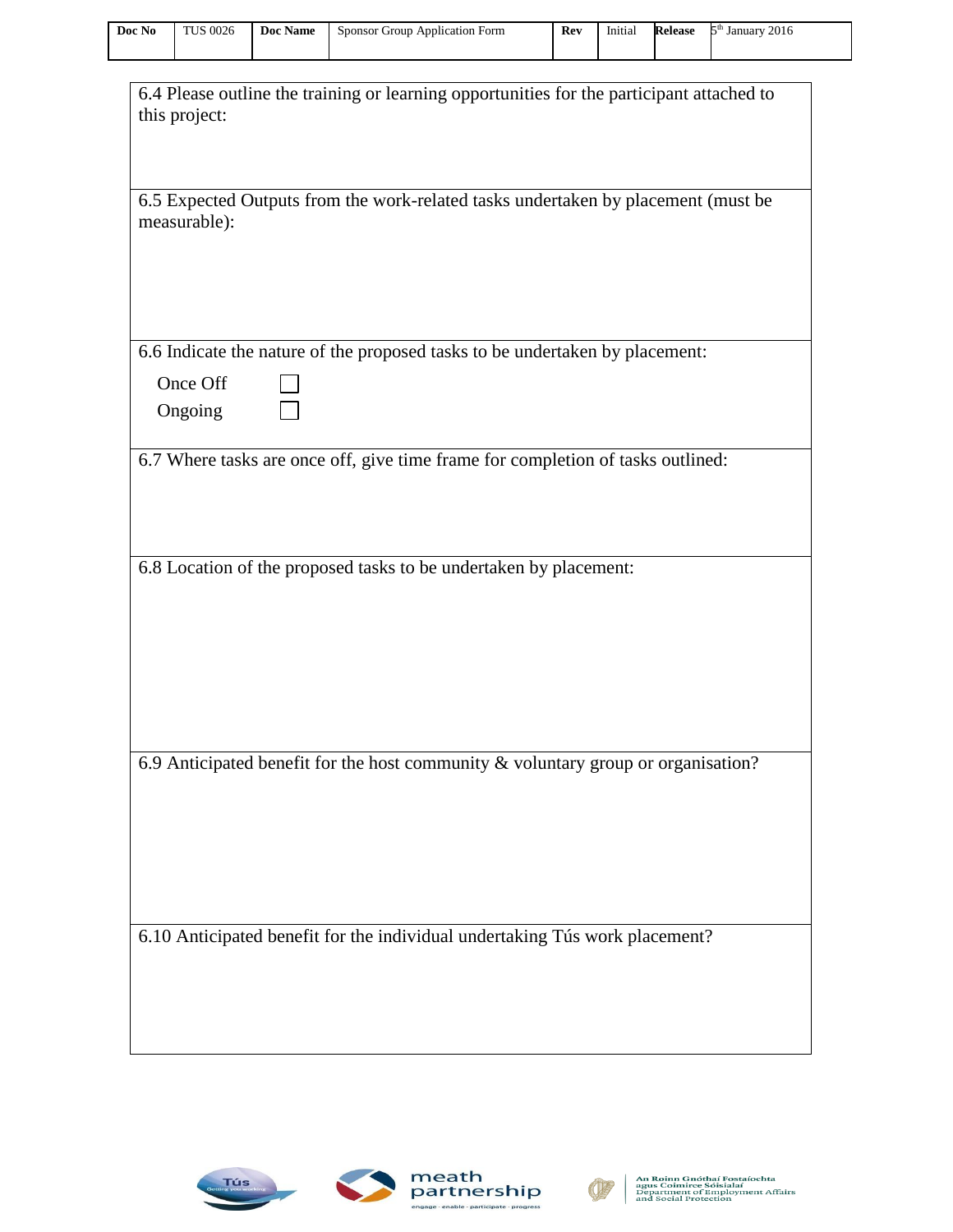| Doc No | <b>TUS 0026</b> | Doc Name | Sponsor Group Application Form | Rev | Initial | Release | 2016<br>Էth<br>January. |
|--------|-----------------|----------|--------------------------------|-----|---------|---------|-------------------------|
|        |                 |          |                                |     |         |         |                         |

| 6.4 Please outline the training or learning opportunities for the participant attached to<br>this project: |
|------------------------------------------------------------------------------------------------------------|
|                                                                                                            |
| 6.5 Expected Outputs from the work-related tasks undertaken by placement (must be<br>measurable):          |
|                                                                                                            |
| 6.6 Indicate the nature of the proposed tasks to be undertaken by placement:                               |
| Once Off                                                                                                   |
| Ongoing                                                                                                    |
| 6.7 Where tasks are once off, give time frame for completion of tasks outlined:                            |
|                                                                                                            |
|                                                                                                            |
|                                                                                                            |
| 6.8 Location of the proposed tasks to be undertaken by placement:                                          |
|                                                                                                            |
|                                                                                                            |
|                                                                                                            |
|                                                                                                            |
|                                                                                                            |
|                                                                                                            |
| 6.9 Anticipated benefit for the host community & voluntary group or organisation?                          |
|                                                                                                            |
|                                                                                                            |
|                                                                                                            |
|                                                                                                            |
|                                                                                                            |
| 6.10 Anticipated benefit for the individual undertaking Tús work placement?                                |
|                                                                                                            |
|                                                                                                            |
|                                                                                                            |
|                                                                                                            |





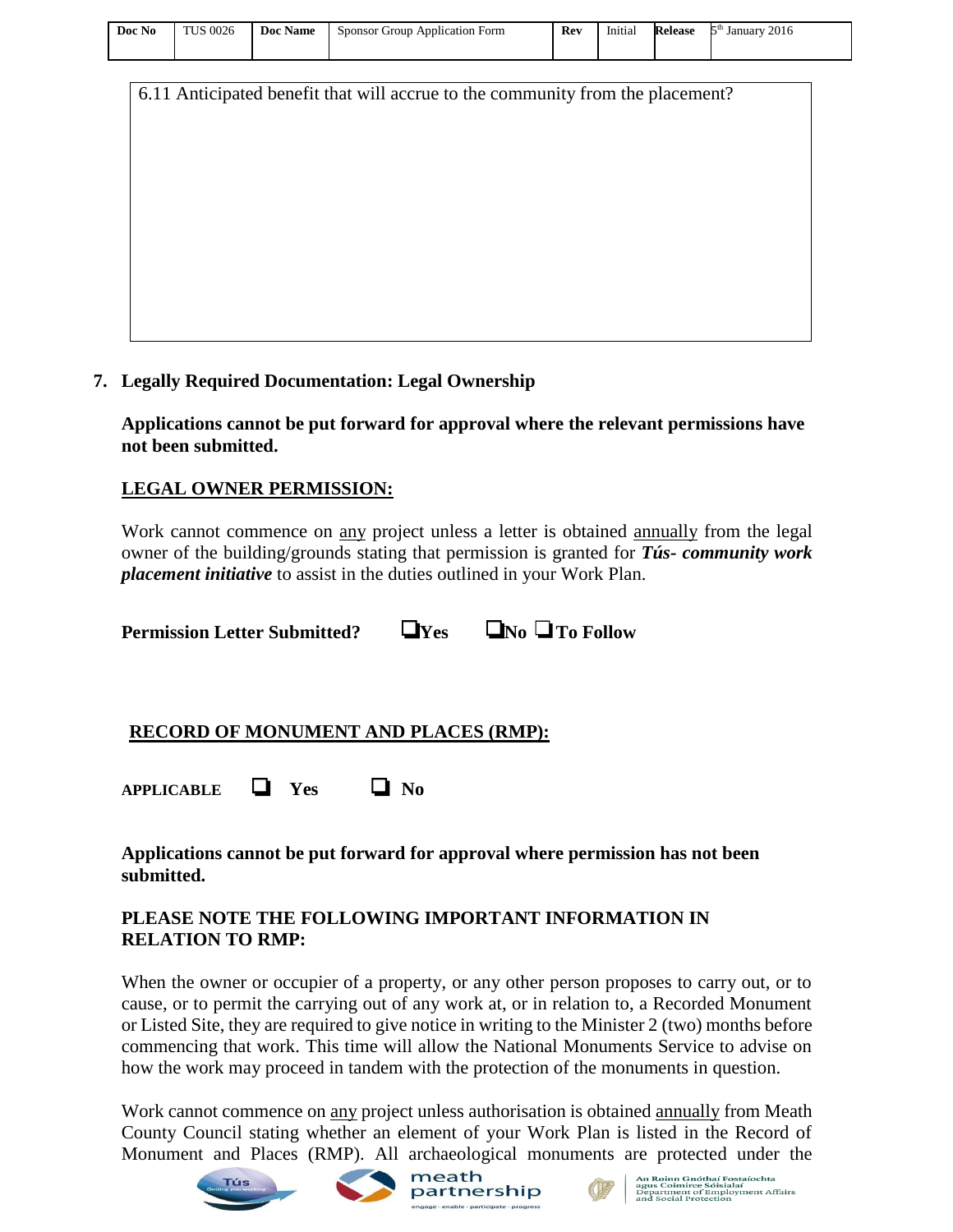| Doc No | <b>TUS 0026</b> | Doc Name | Sponsor Group Application Form | Rev | Initial | Release | 2016<br>January<br>∼, |
|--------|-----------------|----------|--------------------------------|-----|---------|---------|-----------------------|
|        |                 |          |                                |     |         |         |                       |

6.11 Anticipated benefit that will accrue to the community from the placement?

#### **7. Legally Required Documentation: Legal Ownership**

**Applications cannot be put forward for approval where the relevant permissions have not been submitted.** 

#### **LEGAL OWNER PERMISSION:**

Work cannot commence on any project unless a letter is obtained annually from the legal owner of the building/grounds stating that permission is granted for *Tús- community work placement initiative* to assist in the duties outlined in your Work Plan.

**Permission Letter Submitted?** ❏**Yes** ❏**No** ❏**To Follow** 

### **RECORD OF MONUMENT AND PLACES (RMP):**

**APPLICABLE** ❏ **Yes** ❏ **No** 

#### **Applications cannot be put forward for approval where permission has not been submitted.**

### **PLEASE NOTE THE FOLLOWING IMPORTANT INFORMATION IN RELATION TO RMP:**

When the owner or occupier of a property, or any other person proposes to carry out, or to cause, or to permit the carrying out of any work at, or in relation to, a Recorded Monument or Listed Site, they are required to give notice in writing to the Minister 2 (two) months before commencing that work. This time will allow the National Monuments Service to advise on how the work may proceed in tandem with the protection of the monuments in question.

Work cannot commence on any project unless authorisation is obtained annually from Meath County Council stating whether an element of your Work Plan is listed in the Record of Monument and Places (RMP). All archaeological monuments are protected under the









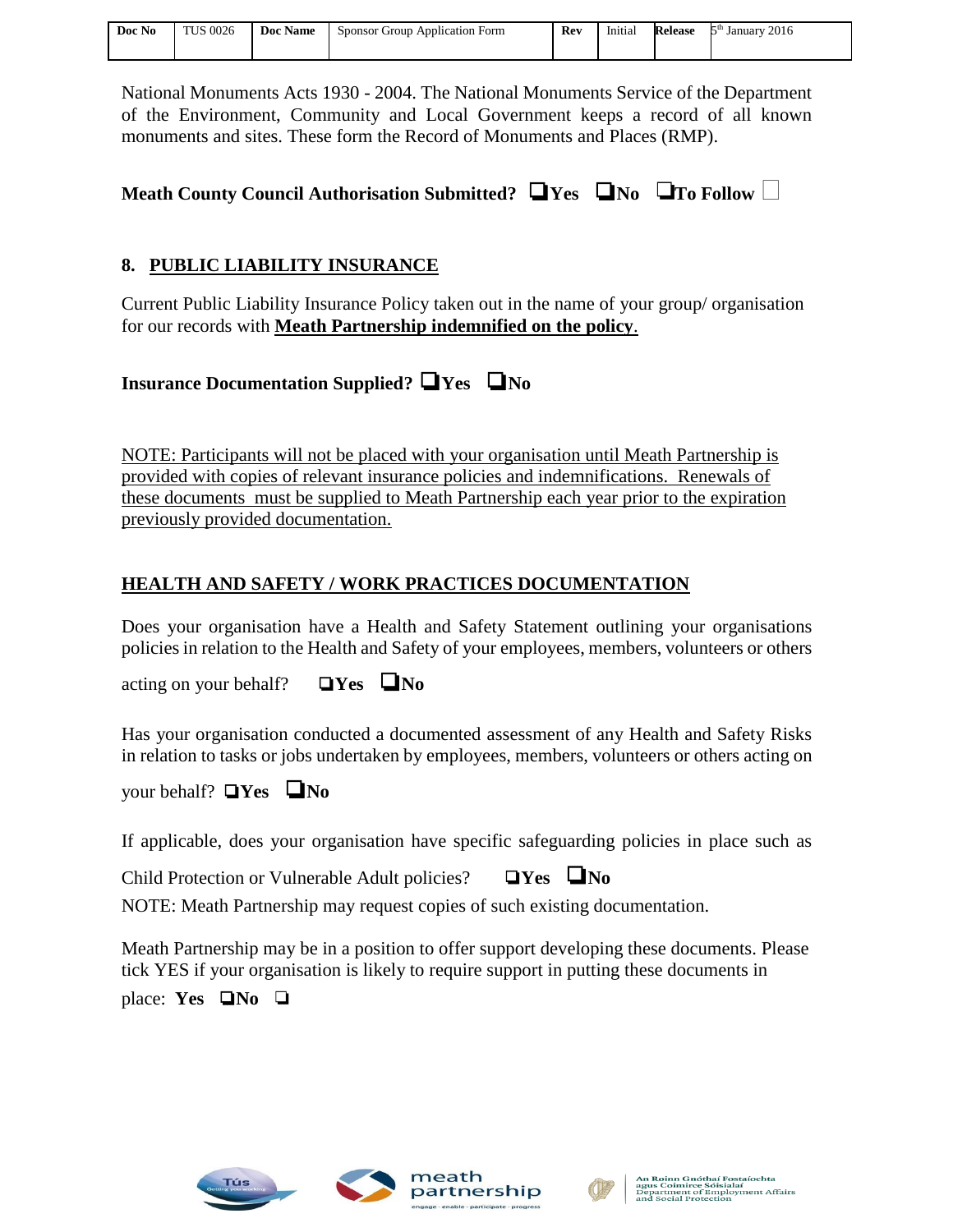| Doc No | <b>TUS 0026</b> | Doc Name | Sponsor Group Application Form | Rev | Initial | Release | 2016<br>5 <sup>th</sup> January |
|--------|-----------------|----------|--------------------------------|-----|---------|---------|---------------------------------|
|        |                 |          |                                |     |         |         |                                 |

National Monuments Acts 1930 - 2004. The National Monuments Service of the Department of the Environment, Community and Local Government keeps a record of all known monuments and sites. These form the Record of Monuments and Places (RMP).

| Meath County Council Authorisation Submitted? $\Box$ Yes $\Box$ No $\Box$ To Follow $\Box$ |  |  |  |
|--------------------------------------------------------------------------------------------|--|--|--|
|                                                                                            |  |  |  |

### **8. PUBLIC LIABILITY INSURANCE**

Current Public Liability Insurance Policy taken out in the name of your group/ organisation for our records with **Meath Partnership indemnified on the policy**.

## **Insurance Documentation Supplied?** ❏ **Yes** ❏ **No**

NOTE: Participants will not be placed with your organisation until Meath Partnership is provided with copies of relevant insurance policies and indemnifications. Renewals of these documents must be supplied to Meath Partnership each year prior to the expiration previously provided documentation.

## **HEALTH AND SAFETY / WORK PRACTICES DOCUMENTATION**

Does your organisation have a Health and Safety Statement outlining your organisations policies in relation to the Health and Safety of your employees, members, volunteers or others

acting on your behalf?❏ **Yes** ❏ **No** 

Has your organisation conducted a documented assessment of any Health and Safety Risks in relation to tasks or jobs undertaken by employees, members, volunteers or others acting on

your behalf? ❏ **Yes** ❏ **No** 

If applicable, does your organisation have specific safeguarding policies in place such as

Child Protection or Vulnerable Adult policies?❏ **Yes** ❏ **No** 

NOTE: Meath Partnership may request copies of such existing documentation.

Meath Partnership may be in a position to offer support developing these documents. Please tick YES if your organisation is likely to require support in putting these documents in place: **Yes**  $\Box$  **No**  $\Box$ 





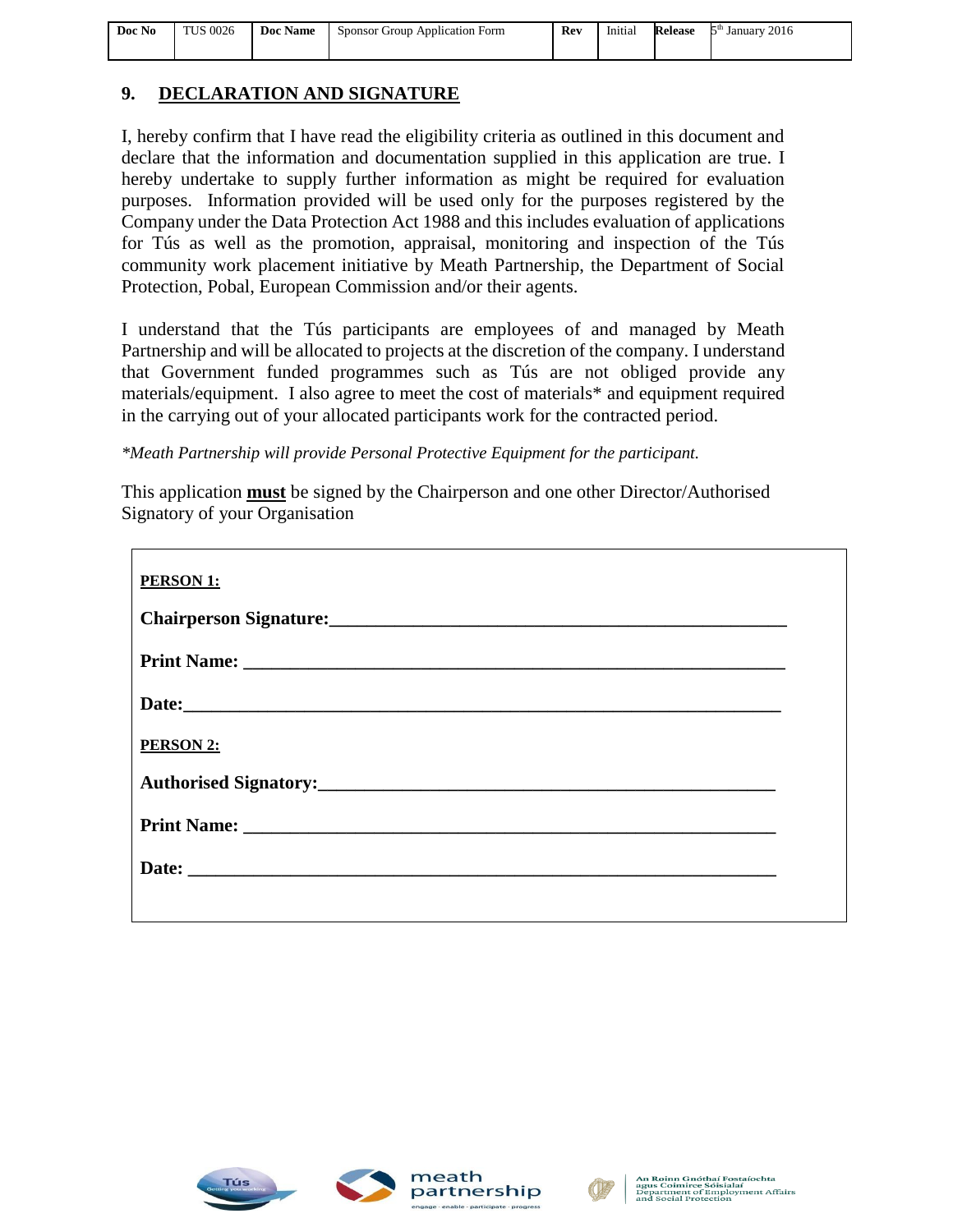| Doc No | TUS 0026 | <b>Doc Name</b> Sponsor Group Application Form | Rev | Initial | <b>Release</b> $5th$ January 2016 |
|--------|----------|------------------------------------------------|-----|---------|-----------------------------------|
|        |          |                                                |     |         |                                   |

### **9. DECLARATION AND SIGNATURE**

I, hereby confirm that I have read the eligibility criteria as outlined in this document and declare that the information and documentation supplied in this application are true. I hereby undertake to supply further information as might be required for evaluation purposes. Information provided will be used only for the purposes registered by the Company under the Data Protection Act 1988 and this includes evaluation of applications for Tús as well as the promotion, appraisal, monitoring and inspection of the Tús community work placement initiative by Meath Partnership, the Department of Social Protection, Pobal, European Commission and/or their agents.

I understand that the Tús participants are employees of and managed by Meath Partnership and will be allocated to projects at the discretion of the company. I understand that Government funded programmes such as Tús are not obliged provide any materials/equipment. I also agree to meet the cost of materials\* and equipment required in the carrying out of your allocated participants work for the contracted period.

*\*Meath Partnership will provide Personal Protective Equipment for the participant.*

This application **must** be signed by the Chairperson and one other Director/Authorised Signatory of your Organisation

| <b>PERSON 1:</b>                                         |  |
|----------------------------------------------------------|--|
| Chairperson Signature:<br><u> Chairperson Signature:</u> |  |
|                                                          |  |
|                                                          |  |
| <b>PERSON 2:</b>                                         |  |
|                                                          |  |
|                                                          |  |
|                                                          |  |
|                                                          |  |





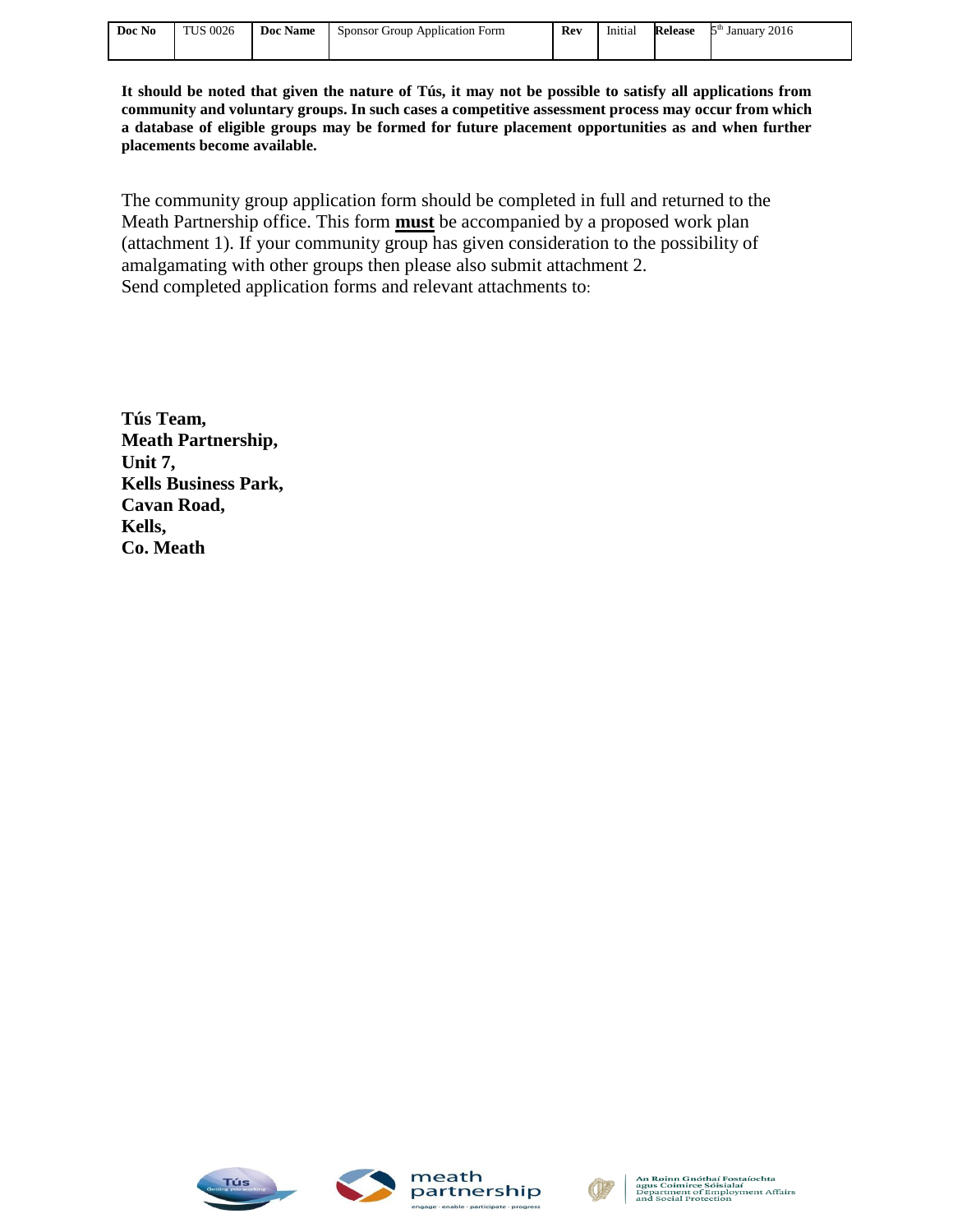| Doc No | <b>TUS 0026</b> | Doc Name | sponsor <sup>'</sup><br>Group<br>Application Form | Rev | $-1$<br>Initial | kelease | ξth<br>2016<br>Januarv |
|--------|-----------------|----------|---------------------------------------------------|-----|-----------------|---------|------------------------|
|        |                 |          |                                                   |     |                 |         |                        |

**It should be noted that given the nature of Tús, it may not be possible to satisfy all applications from community and voluntary groups. In such cases a competitive assessment process may occur from which a database of eligible groups may be formed for future placement opportunities as and when further placements become available.**

The community group application form should be completed in full and returned to the Meath Partnership office. This form **must** be accompanied by a proposed work plan (attachment 1). If your community group has given consideration to the possibility of amalgamating with other groups then please also submit attachment 2. Send completed application forms and relevant attachments to:

**Tús Team, Meath Partnership, Unit 7, Kells Business Park, Cavan Road, Kells, Co. Meath**





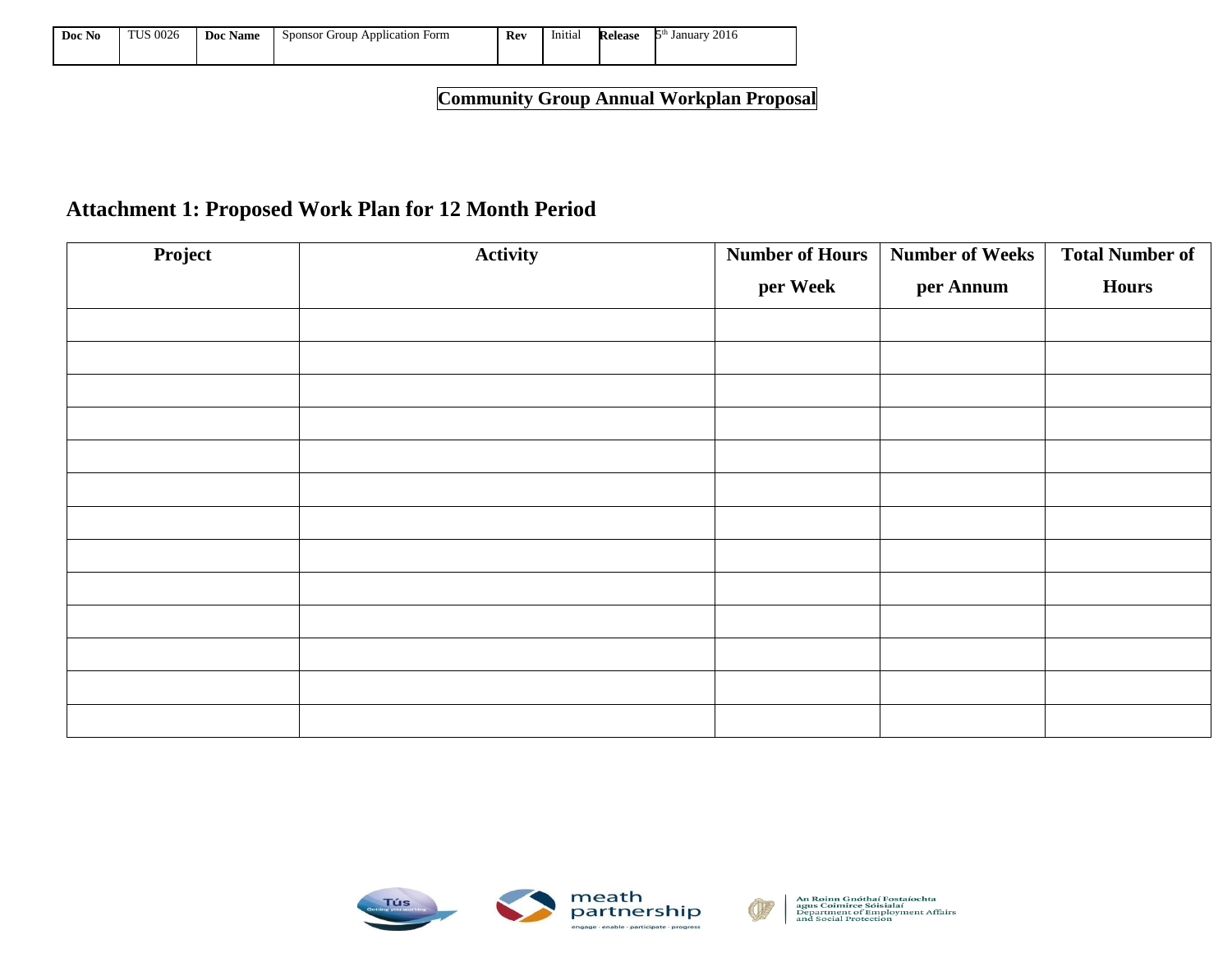| $\rightarrow$<br>Doc No | <b>TUS 0026</b> | Doc.<br><b>Name</b> | r Group Application Form<br>Sponsor' | Rev | .<br>Initial | Release | 2016<br><b>January</b><br>. . |
|-------------------------|-----------------|---------------------|--------------------------------------|-----|--------------|---------|-------------------------------|
|                         |                 |                     |                                      |     |              |         |                               |

**Community Group Annual Workplan Proposal**

## **Attachment 1: Proposed Work Plan for 12 Month Period**

| Project | Activity | <b>Number of Hours</b> | <b>Number of Weeks</b> | <b>Total Number of</b> |
|---------|----------|------------------------|------------------------|------------------------|
|         |          | per Week               | per Annum              | <b>Hours</b>           |
|         |          |                        |                        |                        |
|         |          |                        |                        |                        |
|         |          |                        |                        |                        |
|         |          |                        |                        |                        |
|         |          |                        |                        |                        |
|         |          |                        |                        |                        |
|         |          |                        |                        |                        |
|         |          |                        |                        |                        |
|         |          |                        |                        |                        |
|         |          |                        |                        |                        |
|         |          |                        |                        |                        |
|         |          |                        |                        |                        |
|         |          |                        |                        |                        |



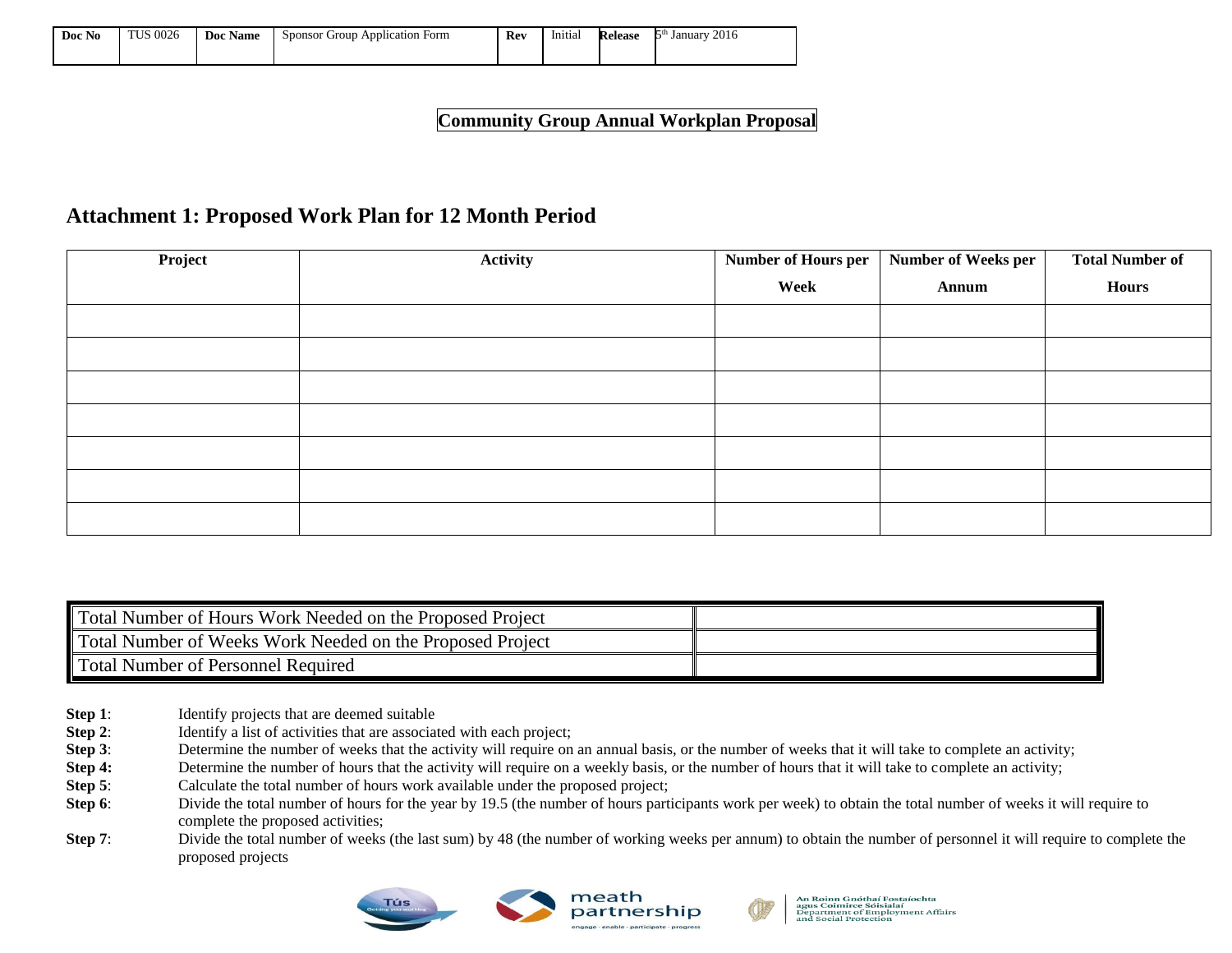| Doc No | <b>TUS 0026</b> | <b>Name</b><br>Doc | Application<br>Form<br>: Group<br>Sponsor | Rev | Initial | Release | 0.017<br>January<br>2016 |
|--------|-----------------|--------------------|-------------------------------------------|-----|---------|---------|--------------------------|
|        |                 |                    |                                           |     |         |         |                          |

**Community Group Annual Workplan Proposal**

## **Attachment 1: Proposed Work Plan for 12 Month Period**

| Project | Activity | Number of Hours per | Number of Weeks per | <b>Total Number of</b> |
|---------|----------|---------------------|---------------------|------------------------|
|         |          | Week                | Annum               | <b>Hours</b>           |
|         |          |                     |                     |                        |
|         |          |                     |                     |                        |
|         |          |                     |                     |                        |
|         |          |                     |                     |                        |
|         |          |                     |                     |                        |
|         |          |                     |                     |                        |
|         |          |                     |                     |                        |

| Total Number of Hours Work Needed on the Proposed Project |  |
|-----------------------------------------------------------|--|
| Total Number of Weeks Work Needed on the Proposed Project |  |
| Total Number of Personnel Required                        |  |

- **Step 1:** Identify projects that are deemed suitable
- **Step 2:** Identify a list of activities that are associated with each project;
- **Step 3**: Determine the number of weeks that the activity will require on an annual basis, or the number of weeks that it will take to complete an activity;
- **Step 4:** Determine the number of hours that the activity will require on a weekly basis, or the number of hours that it will take to complete an activity;
- **Step 5**: Calculate the total number of hours work available under the proposed project;
- **Step 6**: Divide the total number of hours for the year by 19.5 (the number of hours participants work per week) to obtain the total number of weeks it will require to complete the proposed activities;
- **Step 7**: Divide the total number of weeks (the last sum) by 48 (the number of working weeks per annum) to obtain the number of personnel it will require to complete the proposed projects